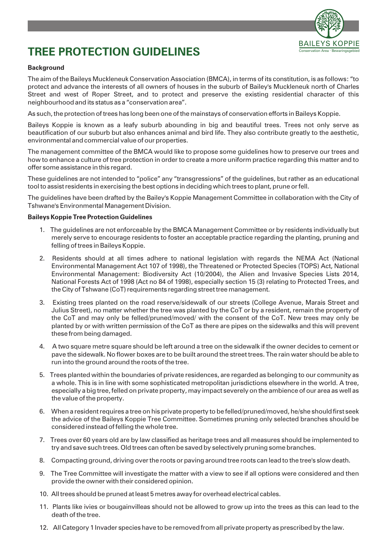

# **TREE PROTECTION GUIDELINES**

## **Background**

The aim of the Baileys Muckleneuk Conservation Association (BMCA), in terms of its constitution, is as follows: "to protect and advance the interests of all owners of houses in the suburb of Bailey's Muckleneuk north of Charles Street and west of Roper Street, and to protect and preserve the existing residential character of this neighbourhood and its status as a "conservation area".

As such, the protection of trees has long been one of the mainstays of conservation efforts in Baileys Koppie.

Baileys Koppie is known as a leafy suburb abounding in big and beautiful trees. Trees not only serve as beautification of our suburb but also enhances animal and bird life. They also contribute greatly to the aesthetic, environmental and commercial value of our properties.

The management committee of the BMCA would like to propose some guidelines how to preserve our trees and how to enhance a culture of tree protection in order to create a more uniform practice regarding this matter and to offer some assistance in this regard.

These guidelines are not intended to "police" any "transgressions" of the guidelines, but rather as an educational tool to assist residents in exercising the best options in deciding which trees to plant, prune or fell.

The guidelines have been drafted by the Bailey's Koppie Management Committee in collaboration with the City of Tshwane's Environmental Management Division.

#### **Baileys Koppie Tree Protection Guidelines**

- 1. The guidelines are not enforceable by the BMCA Management Committee or by residents individually but merely serve to encourage residents to foster an acceptable practice regarding the planting, pruning and felling of trees in Baileys Koppie.
- 2. Residents should at all times adhere to national legislation with regards the NEMA Act (National Environmental Management Act 107 of 1998), the Threatened or Protected Species (TOPS) Act, National Environmental Management: Biodiversity Act (10/2004), the Alien and Invasive Species Lists 2014, National Forests Act of 1998 (Act no 84 of 1998), especially section 15 (3) relating to Protected Trees, and the City of Tshwane (CoT) requirements regarding street tree management.
- 3. Existing trees planted on the road reserve/sidewalk of our streets (College Avenue, Marais Street and Julius Street), no matter whether the tree was planted by the CoT or by a resident, remain the property of the CoT and may only be felled/pruned/moved/ with the consent of the CoT. New trees may only be planted by or with written permission of the CoT as there are pipes on the sidewalks and this will prevent these from being damaged.
- 4. A two square metre square should be left around a tree on the sidewalk if the owner decides to cement or pave the sidewalk. No flower boxes are to be built around the street trees. The rain water should be able to run into the ground around the roots of the tree.
- 5. Trees planted within the boundaries of private residences, are regarded as belonging to our community as a whole. This is in line with some sophisticated metropolitan jurisdictions elsewhere in the world. A tree, especially a big tree, felled on private property, may impact severely on the ambience of our area as well as the value of the property.
- 6. When a resident requires a tree on his private property to be felled/pruned/moved, he/she should first seek the advice of the Baileys Koppie Tree Committee. Sometimes pruning only selected branches should be considered instead of felling the whole tree.
- 7. Trees over 60 years old are by law classified as heritage trees and all measures should be implemented to try and save such trees. Old trees can often be saved by selectively pruning some branches.
- 8. Compacting ground, driving over the roots or paving around tree roots can lead to the tree's slow death.
- 9. The Tree Committee will investigate the matter with a view to see if all options were considered and then provide the owner with their considered opinion.
- 10. All trees should be pruned at least 5 metres away for overhead electrical cables.
- 11. Plants like ivies or bougainvilleas should not be allowed to grow up into the trees as this can lead to the death of the tree.
- 12. All Category 1 Invader species have to be removed from all private property as prescribed by the law.